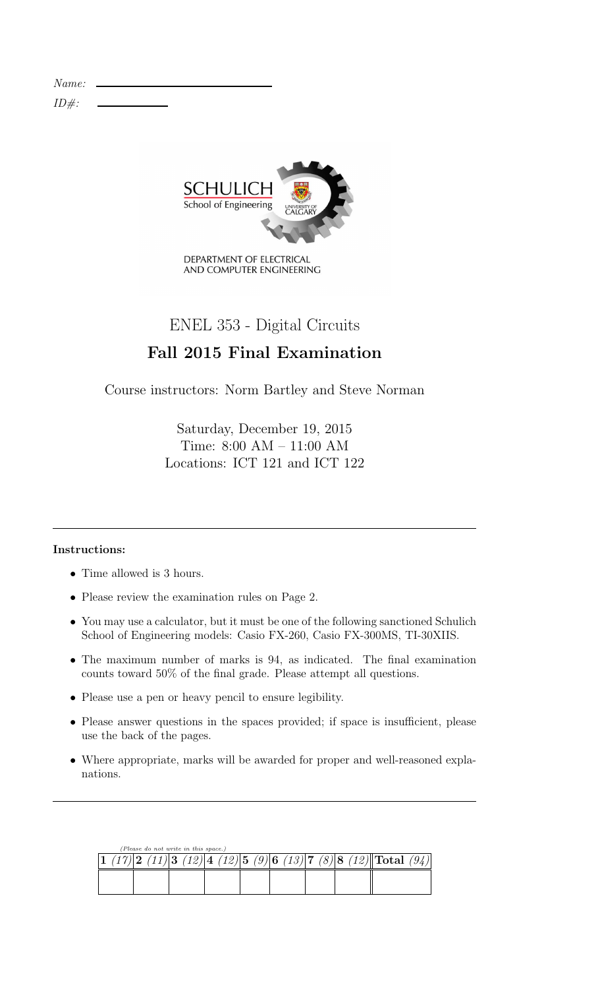Name:  $ID#$ :



# ENEL 353 - Digital Circuits

## Fall 2015 Final Examination

Course instructors: Norm Bartley and Steve Norman

Saturday, December 19, 2015 Time: 8:00 AM – 11:00 AM Locations: ICT 121 and ICT 122

## Instructions:

- Time allowed is 3 hours.
- Please review the examination rules on Page 2.
- You may use a calculator, but it must be one of the following sanctioned Schulich School of Engineering models: Casio FX-260, Casio FX-300MS, TI-30XIIS.
- The maximum number of marks is 94, as indicated. The final examination counts toward 50% of the final grade. Please attempt all questions.
- Please use a pen or heavy pencil to ensure legibility.
- Please answer questions in the spaces provided; if space is insufficient, please use the back of the pages.
- Where appropriate, marks will be awarded for proper and well-reasoned explanations.

| (Please do not write in this space.) |  |  |  |  |  |  |  |  |  |  |                                                                                           |  |
|--------------------------------------|--|--|--|--|--|--|--|--|--|--|-------------------------------------------------------------------------------------------|--|
|                                      |  |  |  |  |  |  |  |  |  |  | $(17) 2 \t(11) 3 \t(12) 4 \t(12) 5 \t(9) 6 \t(13) 7 \t(8) 8 \t(12)  \text{Total} \t(94) $ |  |
|                                      |  |  |  |  |  |  |  |  |  |  |                                                                                           |  |
|                                      |  |  |  |  |  |  |  |  |  |  |                                                                                           |  |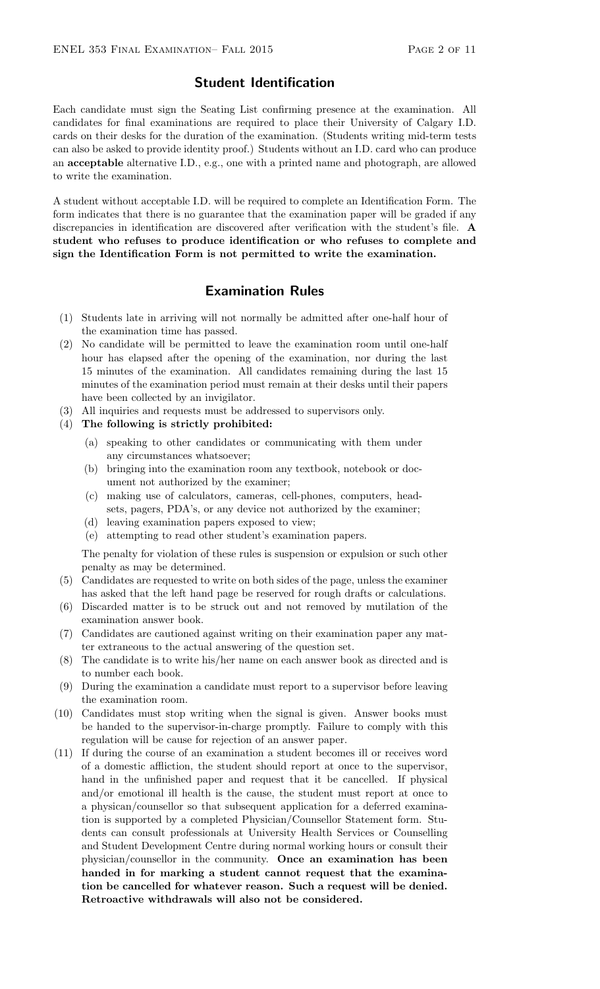### Student Identification

Each candidate must sign the Seating List confirming presence at the examination. All candidates for final examinations are required to place their University of Calgary I.D. cards on their desks for the duration of the examination. (Students writing mid-term tests can also be asked to provide identity proof.) Students without an I.D. card who can produce an acceptable alternative I.D., e.g., one with a printed name and photograph, are allowed to write the examination.

A student without acceptable I.D. will be required to complete an Identification Form. The form indicates that there is no guarantee that the examination paper will be graded if any discrepancies in identification are discovered after verification with the student's file. A student who refuses to produce identification or who refuses to complete and sign the Identification Form is not permitted to write the examination.

## Examination Rules

- (1) Students late in arriving will not normally be admitted after one-half hour of the examination time has passed.
- (2) No candidate will be permitted to leave the examination room until one-half hour has elapsed after the opening of the examination, nor during the last 15 minutes of the examination. All candidates remaining during the last 15 minutes of the examination period must remain at their desks until their papers have been collected by an invigilator.
- (3) All inquiries and requests must be addressed to supervisors only.
- (4) The following is strictly prohibited:
	- (a) speaking to other candidates or communicating with them under any circumstances whatsoever;
	- (b) bringing into the examination room any textbook, notebook or document not authorized by the examiner;
	- (c) making use of calculators, cameras, cell-phones, computers, headsets, pagers, PDA's, or any device not authorized by the examiner;
	- (d) leaving examination papers exposed to view;
	- (e) attempting to read other student's examination papers.

The penalty for violation of these rules is suspension or expulsion or such other penalty as may be determined.

- (5) Candidates are requested to write on both sides of the page, unless the examiner has asked that the left hand page be reserved for rough drafts or calculations.
- (6) Discarded matter is to be struck out and not removed by mutilation of the examination answer book.
- (7) Candidates are cautioned against writing on their examination paper any matter extraneous to the actual answering of the question set.
- (8) The candidate is to write his/her name on each answer book as directed and is to number each book.
- (9) During the examination a candidate must report to a supervisor before leaving the examination room.
- (10) Candidates must stop writing when the signal is given. Answer books must be handed to the supervisor-in-charge promptly. Failure to comply with this regulation will be cause for rejection of an answer paper.
- (11) If during the course of an examination a student becomes ill or receives word of a domestic affliction, the student should report at once to the supervisor, hand in the unfinished paper and request that it be cancelled. If physical and/or emotional ill health is the cause, the student must report at once to a physican/counsellor so that subsequent application for a deferred examination is supported by a completed Physician/Counsellor Statement form. Students can consult professionals at University Health Services or Counselling and Student Development Centre during normal working hours or consult their physician/counsellor in the community. Once an examination has been handed in for marking a student cannot request that the examination be cancelled for whatever reason. Such a request will be denied. Retroactive withdrawals will also not be considered.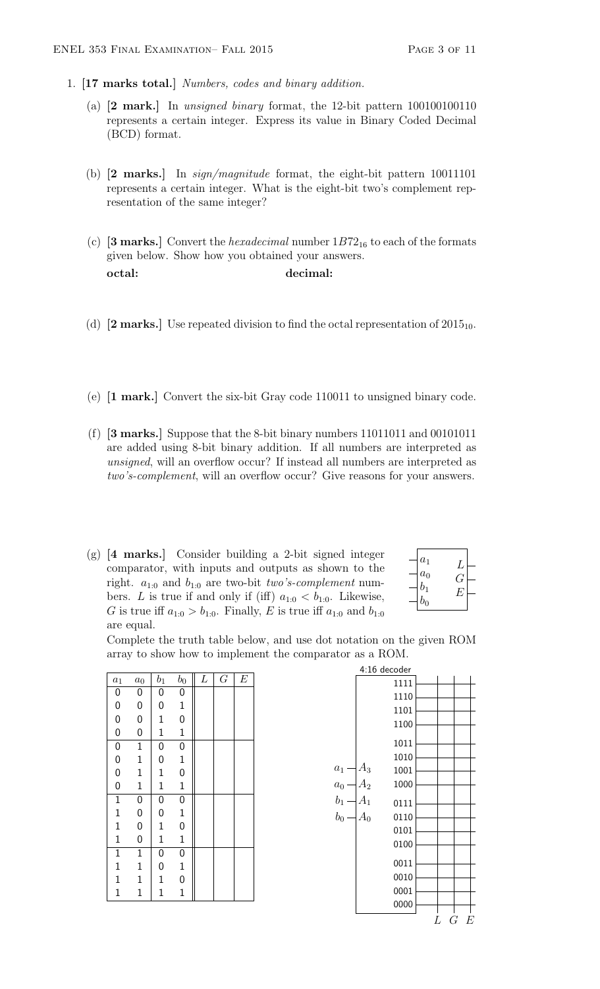- 1. [17 marks total.] Numbers, codes and binary addition.
	- (a) [2 mark.] In unsigned binary format, the 12-bit pattern 100100100110 represents a certain integer. Express its value in Binary Coded Decimal (BCD) format.
	- (b) [2 marks.] In sign/magnitude format, the eight-bit pattern 10011101 represents a certain integer. What is the eight-bit two's complement representation of the same integer?
	- (c) [3 marks.] Convert the *hexadecimal* number  $1B72_{16}$  to each of the formats given below. Show how you obtained your answers. octal: decimal:
	- (d) [2 marks.] Use repeated division to find the octal representation of  $2015_{10}$ .
	- (e) [1 mark.] Convert the six-bit Gray code 110011 to unsigned binary code.
	- (f) [3 marks.] Suppose that the 8-bit binary numbers 11011011 and 00101011 are added using 8-bit binary addition. If all numbers are interpreted as unsigned, will an overflow occur? If instead all numbers are interpreted as two's-complement, will an overflow occur? Give reasons for your answers.
	- (g) [4 marks.] Consider building a 2-bit signed integer comparator, with inputs and outputs as shown to the right.  $a_{1:0}$  and  $b_{1:0}$  are two-bit two's-complement numbers. L is true if and only if (iff)  $a_{1:0} < b_{1:0}$ . Likewise, G is true iff  $a_{1:0} > b_{1:0}$ . Finally, E is true iff  $a_{1:0}$  and  $b_{1:0}$ are equal.

| $\boldsymbol{a}_1$ | L  |  |
|--------------------|----|--|
| $a_0$              |    |  |
| $b_1$              | Н. |  |
| $b_0$              |    |  |

Complete the truth table below, and use dot notation on the given ROM array to show how to implement the comparator as a ROM.

| $a_1$        | $a_0$          | $b_1$        | b <sub>0</sub> | $\cal L$ | $\overline{G}$ | $\boldsymbol{E}$ |
|--------------|----------------|--------------|----------------|----------|----------------|------------------|
| $\mathbf{0}$ | 0              | $\mathbf{0}$ | $\mathbf 0$    |          |                |                  |
| $\mathbf{0}$ | 0              | 0            | $\mathbf 1$    |          |                |                  |
| $\mathbf{0}$ | $\mathbf 0$    | $\mathbf{1}$ | $\mathbf 0$    |          |                |                  |
| $\mathbf{0}$ | $\mathbf 0$    | $\mathbf{1}$ | $\mathbf 1$    |          |                |                  |
| $\mathbf{0}$ | $\mathbf 1$    | 0            | 0              |          |                |                  |
| $\mathbf{0}$ | $\mathbf{1}$   | 0            | $\mathbf{1}$   |          |                |                  |
| $\mathbf{0}$ | $\mathbf{1}$   | $\mathbf{1}$ | $\mathbf{0}$   |          |                |                  |
| $\mathbf{0}$ | $\mathbf{1}$   | $\mathbf{1}$ | $\mathbf 1$    |          |                |                  |
| $\mathbf 1$  | $\mathbf 0$    | $\mathbf{0}$ | $\mathbf 0$    |          |                |                  |
| $\mathbf{1}$ | 0              | 0            | $\mathbf 1$    |          |                |                  |
| $\mathbf{1}$ | $\mathbf 0$    | $\mathbf{1}$ | $\overline{0}$ |          |                |                  |
| $\mathbf{1}$ | $\overline{0}$ | $\mathbf 1$  | $\mathbf 1$    |          |                |                  |
| $\mathbf{1}$ | $\mathbf{1}$   | 0            | 0              |          |                |                  |
| $\mathbf{1}$ | $\mathbf{1}$   | 0            | $\mathbf 1$    |          |                |                  |
| $\mathbf 1$  | $\mathbf{1}$   | $\mathbf 1$  | 0              |          |                |                  |
| $\mathbf{1}$ | $\mathbf{1}$   | $\mathbf 1$  | $\mathbf 1$    |          |                |                  |
|              |                |              |                |          |                |                  |

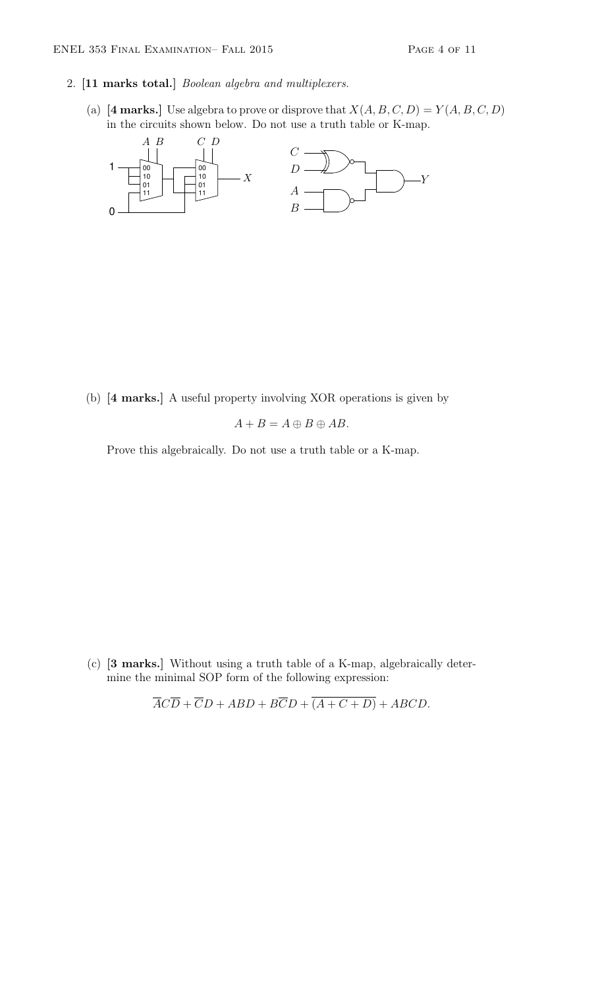### 2. [11 marks total.] Boolean algebra and multiplexers.

(a) [4 marks.] Use algebra to prove or disprove that  $X(A, B, C, D) = Y(A, B, C, D)$ in the circuits shown below. Do not use a truth table or K-map.



(b) [4 marks.] A useful property involving XOR operations is given by

$$
A + B = A \oplus B \oplus AB.
$$

Prove this algebraically. Do not use a truth table or a K-map.

(c) [3 marks.] Without using a truth table of a K-map, algebraically determine the minimal SOP form of the following expression:

$$
\overline{ACD} + \overline{C}D + ABD + B\overline{C}D + (A + C + D) + ABCD.
$$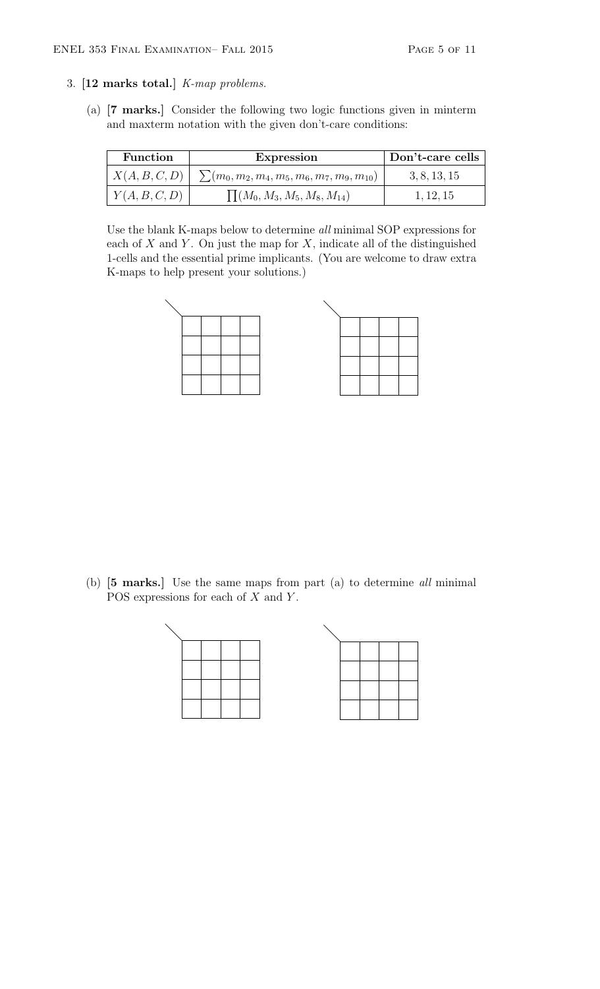## 3. [12 marks total.] K-map problems.

(a) [7 marks.] Consider the following two logic functions given in minterm and maxterm notation with the given don't-care conditions:

| <b>Function</b> | Expression                                         | Don't-care cells |
|-----------------|----------------------------------------------------|------------------|
| X(A, B, C, D)   | $\sum (m_0, m_2, m_4, m_5, m_6, m_7, m_9, m_{10})$ | 3, 8, 13, 15     |
| Y(A, B, C, D)   | $\prod (M_0, M_3, M_5, M_8, M_{14})$               | 1, 12, 15        |

Use the blank K-maps below to determine all minimal SOP expressions for each of  $X$  and  $Y$ . On just the map for  $X$ , indicate all of the distinguished 1-cells and the essential prime implicants. (You are welcome to draw extra K-maps to help present your solutions.)



(b) [5 marks.] Use the same maps from part (a) to determine all minimal POS expressions for each of  $X$  and  $Y$ .

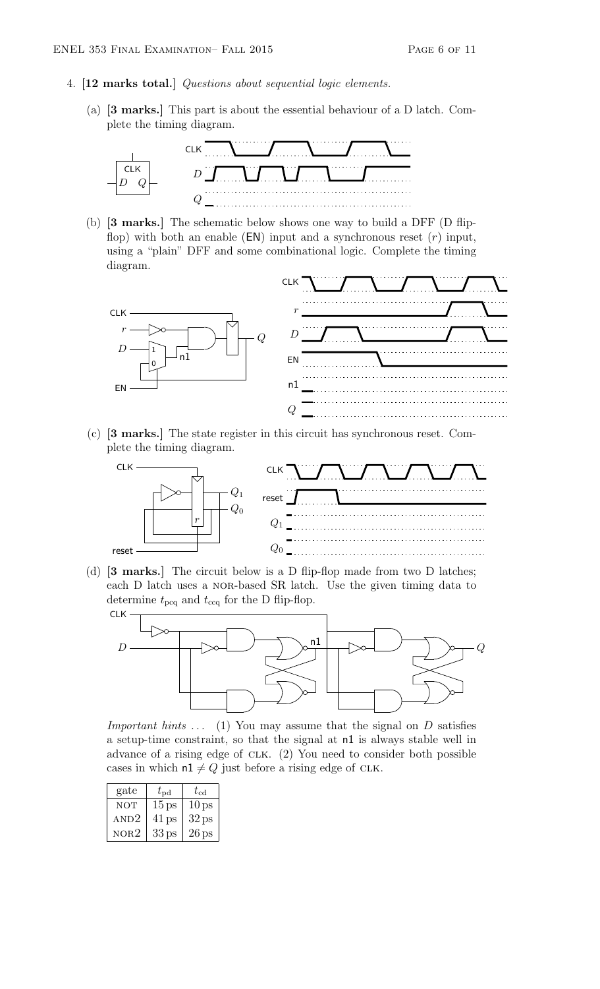#### 4. [12 marks total.] Questions about sequential logic elements.

(a) [3 marks.] This part is about the essential behaviour of a D latch. Complete the timing diagram.



(b) [3 marks.] The schematic below shows one way to build a DFF (D flipflop) with both an enable  $(EN)$  input and a synchronous reset  $(r)$  input, using a "plain" DFF and some combinational logic. Complete the timing diagram.



(c) [3 marks.] The state register in this circuit has synchronous reset. Complete the timing diagram.



(d) [3 marks.] The circuit below is a D flip-flop made from two D latches; each D latch uses a NOR-based SR latch. Use the given timing data to determine  $t_{\text{pcq}}$  and  $t_{\text{ccq}}$  for the D flip-flop.



*Important hints*  $\dots$  (1) You may assume that the signal on D satisfies a setup-time constraint, so that the signal at n1 is always stable well in advance of a rising edge of clk. (2) You need to consider both possible cases in which  $n1 \neq Q$  just before a rising edge of CLK.

| gate       | $t_{\rm pd}$     | $t_{\mathrm{cd}}$ |
|------------|------------------|-------------------|
| <b>NOT</b> | 15 <sub>ps</sub> | 10 <sub>ps</sub>  |
| AND2       | $41$ ps          | 32 <sub>ps</sub>  |
| NOR2       | 33 <sub>ps</sub> | $26$ ps           |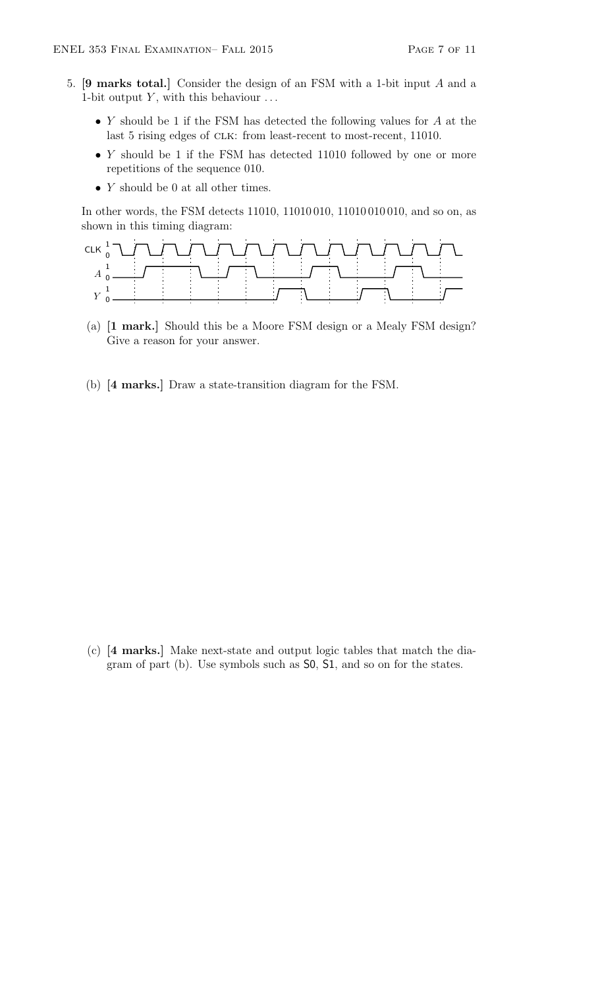- 5. [9 marks total.] Consider the design of an FSM with a 1-bit input A and a 1-bit output  $Y$ , with this behaviour  $\dots$ 
	- Y should be 1 if the FSM has detected the following values for  $A$  at the last 5 rising edges of CLK: from least-recent to most-recent, 11010.
	- $Y$  should be 1 if the FSM has detected 11010 followed by one or more repetitions of the sequence 010.
	- $Y$  should be 0 at all other times.

In other words, the FSM detects 11010, 11010 010, 11010 010 010, and so on, as shown in this timing diagram:



- (a) [1 mark.] Should this be a Moore FSM design or a Mealy FSM design? Give a reason for your answer.
- (b) [4 marks.] Draw a state-transition diagram for the FSM.

(c) [4 marks.] Make next-state and output logic tables that match the diagram of part (b). Use symbols such as S0, S1, and so on for the states.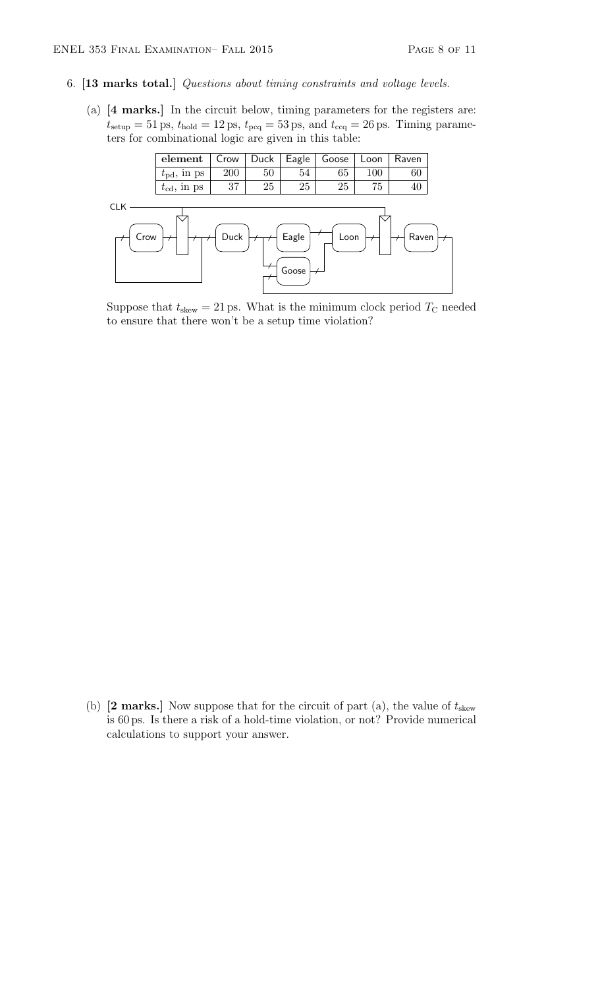### 6. [13 marks total.] Questions about timing constraints and voltage levels.

(a) [4 marks.] In the circuit below, timing parameters for the registers are:  $t_{\text{setup}} = 51 \,\text{ps}, t_{\text{hold}} = 12 \,\text{ps}, t_{\text{pcq}} = 53 \,\text{ps}, \text{ and } t_{\text{ccq}} = 26 \,\text{ps}.$  Timing parameters for combinational logic are given in this table:



Suppose that  $t_{\text{skew}} = 21 \,\text{ps}$ . What is the minimum clock period  $T_{\text{C}}$  needed to ensure that there won't be a setup time violation?

(b)  $[2 \text{ marks.}]$  Now suppose that for the circuit of part (a), the value of  $t_{\text{skew}}$ is 60 ps. Is there a risk of a hold-time violation, or not? Provide numerical calculations to support your answer.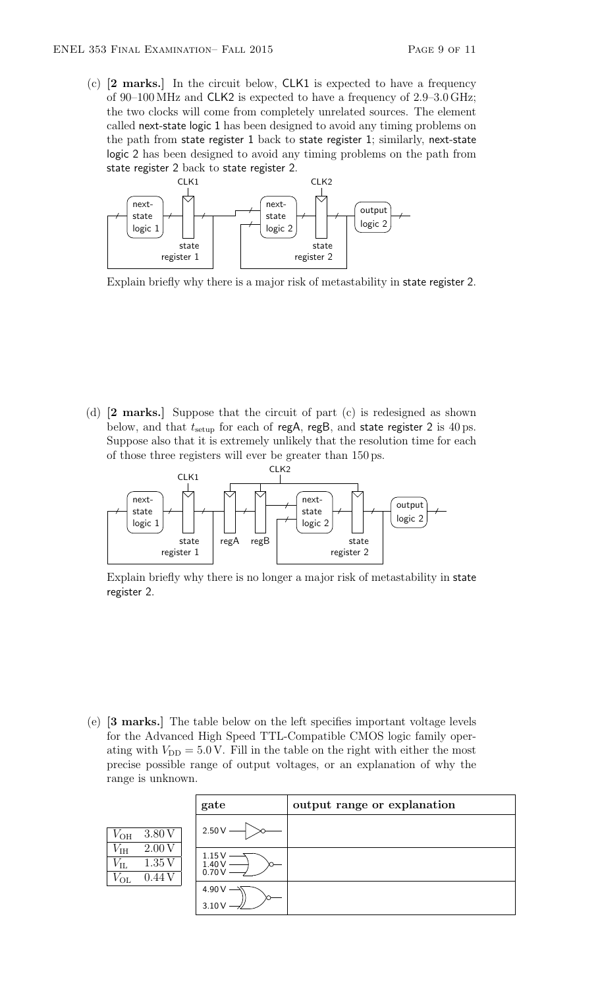(c) [2 marks.] In the circuit below, CLK1 is expected to have a frequency of 90–100 MHz and CLK2 is expected to have a frequency of 2.9–3.0 GHz; the two clocks will come from completely unrelated sources. The element called next-state logic 1 has been designed to avoid any timing problems on the path from state register 1 back to state register 1; similarly, next-state logic 2 has been designed to avoid any timing problems on the path from state register 2 back to state register 2.



Explain briefly why there is a major risk of metastability in state register 2.

(d) [2 marks.] Suppose that the circuit of part (c) is redesigned as shown below, and that  $t_{\text{setup}}$  for each of regA, regB, and state register 2 is 40 ps. Suppose also that it is extremely unlikely that the resolution time for each of those three registers will ever be greater than 150 ps.



Explain briefly why there is no longer a major risk of metastability in state register 2.

(e) [3 marks.] The table below on the left specifies important voltage levels for the Advanced High Speed TTL-Compatible CMOS logic family operating with  $V_{\text{DD}} = 5.0 \text{ V}$ . Fill in the table on the right with either the most precise possible range of output voltages, or an explanation of why the range is unknown.

|                                                                            | gate                      | output range or explanation |
|----------------------------------------------------------------------------|---------------------------|-----------------------------|
| 3.80 V<br>$V_{\text{OH}}$                                                  | $2.50\,\mathrm{V}$        |                             |
| $V_{\rm IH}$<br>2.00V<br>$V_{\rm IL}$<br>1.35V<br>$V_{\text{OL}}$<br>0.44V | 1.15 V<br>1.40 V<br>0.70V |                             |
|                                                                            | 4.90 V<br>3.10V           |                             |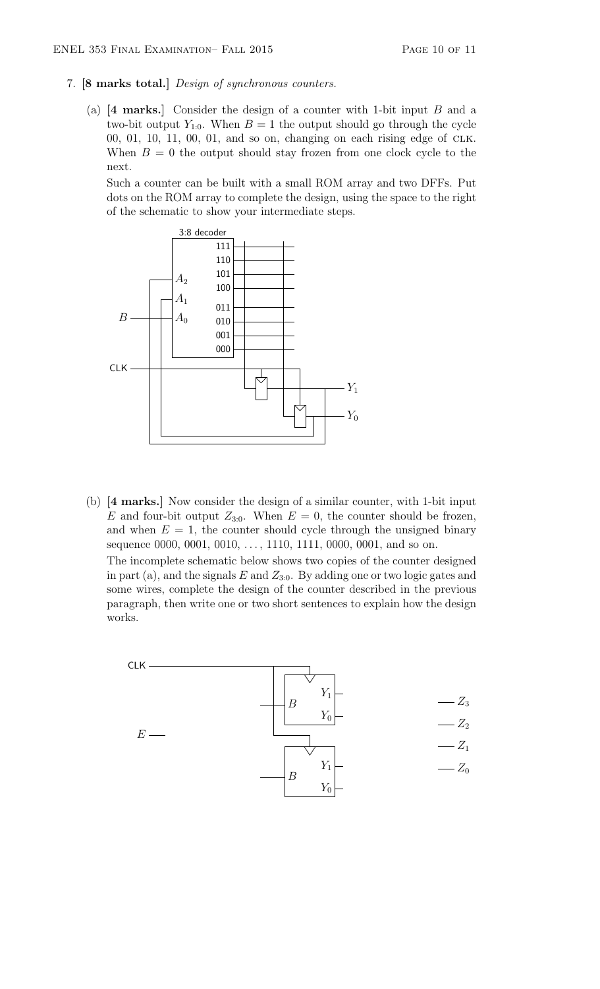- 7. [8 marks total.] Design of synchronous counters.
	- (a) [4 marks.] Consider the design of a counter with 1-bit input B and a two-bit output  $Y_{1:0}$ . When  $B = 1$  the output should go through the cycle 00, 01, 10, 11, 00, 01, and so on, changing on each rising edge of clk. When  $B = 0$  the output should stay frozen from one clock cycle to the next.

Such a counter can be built with a small ROM array and two DFFs. Put dots on the ROM array to complete the design, using the space to the right of the schematic to show your intermediate steps.



(b) [4 marks.] Now consider the design of a similar counter, with 1-bit input E and four-bit output  $Z_{3:0}$ . When  $E = 0$ , the counter should be frozen, and when  $E = 1$ , the counter should cycle through the unsigned binary sequence 0000, 0001, 0010,  $\dots$ , 1110, 1111, 0000, 0001, and so on. The incomplete schematic below shows two copies of the counter designed in part (a), and the signals  $E$  and  $Z_{3:0}$ . By adding one or two logic gates and some wires, complete the design of the counter described in the previous paragraph, then write one or two short sentences to explain how the design works.